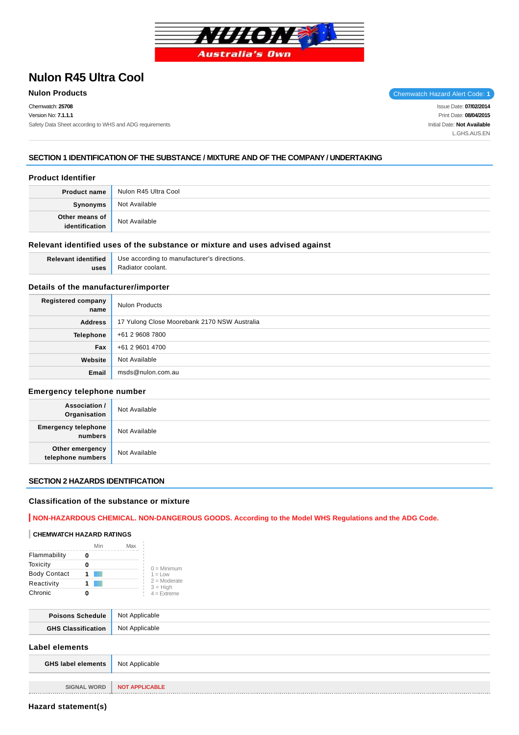

# **Nulon R45 Ultra Cool**

Chemwatch: **25708** Version No: **7.1.1.1** Safety Data Sheet according to WHS and ADG requirements

**Nulon Products** Chemwatch Hazard Alert Code: 1

Issue Date: **07/02/2014** Print Date: **08/04/2015** Initial Date: **Not Available** L.GHS.AUS.EN

# **SECTION 1 IDENTIFICATION OF THE SUBSTANCE / MIXTURE AND OF THE COMPANY / UNDERTAKING**

## **Product Identifier**

| <b>Product name</b>              | Nulon R45 Ultra Cool |
|----------------------------------|----------------------|
| Synonyms                         | Not Available        |
| Other means of<br>identification | Not Available        |

#### **Relevant identified uses of the substance or mixture and uses advised against**

**Relevant identified uses** Use according to manufacturer's directions. Radiator coolant.

## **Details of the manufacturer/importer**

| <b>Registered company</b><br>name | <b>Nulon Products</b>                        |
|-----------------------------------|----------------------------------------------|
| <b>Address</b>                    | 17 Yulong Close Moorebank 2170 NSW Australia |
| <b>Telephone</b>                  | +61 2 9608 7800                              |
| Fax                               | +61 2 9601 4700                              |
| Website                           | Not Available                                |
| Email                             | msds@nulon.com.au                            |

#### **Emergency telephone number**

| <b>Association /</b><br>Organisation  | Not Available |
|---------------------------------------|---------------|
| <b>Emergency telephone</b><br>numbers | Not Available |
| Other emergency<br>telephone numbers  | Not Available |

## **SECTION 2 HAZARDS IDENTIFICATION**

## **Classification of the substance or mixture**

# **NON-HAZARDOUS CHEMICAL. NON-DANGEROUS GOODS. According to the Model WHS Regulations and the ADG Code.**

#### **CHEMWATCH HAZARD RATINGS**

|                     | Min | Max |                              |
|---------------------|-----|-----|------------------------------|
| Flammability        |     |     |                              |
| Toxicity            |     |     | $0 =$ Minimum                |
| <b>Body Contact</b> |     |     | $1 = Low$                    |
| Reactivity          |     |     | $2 =$ Moderate<br>$3 = High$ |
| Chronic             |     |     | $4 =$ Extreme                |

| <b>Poisons</b><br>chedule | Not Applicable |
|---------------------------|----------------|
| cus r                     | Not Applicable |

# **Label elements**

| <b>GHS label elements</b> | Not Applicable        |
|---------------------------|-----------------------|
|                           |                       |
| <b>SIGNAL WORD</b>        | <b>NOT APPLICABLE</b> |

**Hazard statement(s)**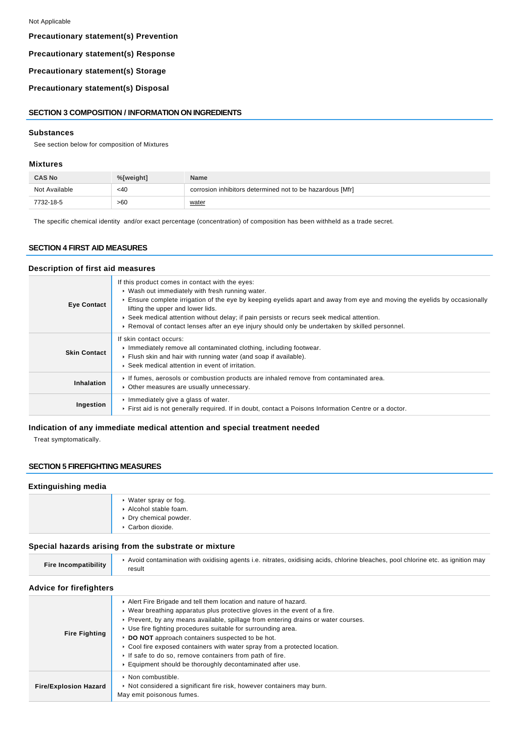# **Precautionary statement(s) Prevention**

#### **Precautionary statement(s) Response**

# **Precautionary statement(s) Storage**

**Precautionary statement(s) Disposal**

#### **SECTION 3 COMPOSITION / INFORMATION ON INGREDIENTS**

#### **Substances**

See section below for composition of Mixtures

#### **Mixtures**

| <b>CAS No</b> | %[weight] | <b>Name</b>                                               |
|---------------|-----------|-----------------------------------------------------------|
| Not Available | $<$ 40    | corrosion inhibitors determined not to be hazardous [Mfr] |
| 7732-18-5     | >60       | water                                                     |

The specific chemical identity and/or exact percentage (concentration) of composition has been withheld as a trade secret.

## **SECTION 4 FIRST AID MEASURES**

## **Description of first aid measures**

| <b>Eye Contact</b>  | If this product comes in contact with the eyes:<br>• Wash out immediately with fresh running water.<br>Ensure complete irrigation of the eye by keeping eyelids apart and away from eye and moving the eyelids by occasionally<br>lifting the upper and lower lids.<br>▶ Seek medical attention without delay; if pain persists or recurs seek medical attention.<br>► Removal of contact lenses after an eye injury should only be undertaken by skilled personnel. |
|---------------------|----------------------------------------------------------------------------------------------------------------------------------------------------------------------------------------------------------------------------------------------------------------------------------------------------------------------------------------------------------------------------------------------------------------------------------------------------------------------|
| <b>Skin Contact</b> | If skin contact occurs:<br>Immediately remove all contaminated clothing, including footwear.<br>Flush skin and hair with running water (and soap if available).<br>▶ Seek medical attention in event of irritation.                                                                                                                                                                                                                                                  |
| Inhalation          | If fumes, aerosols or combustion products are inhaled remove from contaminated area.<br>• Other measures are usually unnecessary.                                                                                                                                                                                                                                                                                                                                    |
| Ingestion           | Immediately give a glass of water.<br>First aid is not generally required. If in doubt, contact a Poisons Information Centre or a doctor.                                                                                                                                                                                                                                                                                                                            |

## **Indication of any immediate medical attention and special treatment needed**

Treat symptomatically.

## **SECTION 5 FIREFIGHTING MEASURES**

#### **Extinguishing media**

| ▶ Water spray or fog.<br>Alcohol stable foam.<br>▶ Dry chemical powder.<br>▶ Carbon dioxide. |  |
|----------------------------------------------------------------------------------------------|--|
|----------------------------------------------------------------------------------------------|--|

#### **Special hazards arising from the substrate or mixture**

| Fire Incompatibility | Avoid contamination with oxidising agents i.e. nitrates, oxidising acids, chlorine bleaches, pool chlorine etc. as ignition may<br>result |
|----------------------|-------------------------------------------------------------------------------------------------------------------------------------------|
| .<br>.               |                                                                                                                                           |

# **Advice for firefighters**

| <b>Fire Fighting</b>         | Alert Fire Brigade and tell them location and nature of hazard.<br>$\triangleright$ Wear breathing apparatus plus protective gloves in the event of a fire.<br>▶ Prevent, by any means available, spillage from entering drains or water courses.<br>▶ Use fire fighting procedures suitable for surrounding area.<br>▶ DO NOT approach containers suspected to be hot.<br>► Cool fire exposed containers with water spray from a protected location.<br>If safe to do so, remove containers from path of fire.<br>Equipment should be thoroughly decontaminated after use. |  |
|------------------------------|-----------------------------------------------------------------------------------------------------------------------------------------------------------------------------------------------------------------------------------------------------------------------------------------------------------------------------------------------------------------------------------------------------------------------------------------------------------------------------------------------------------------------------------------------------------------------------|--|
| <b>Fire/Explosion Hazard</b> | $\triangleright$ Non combustible.<br>Not considered a significant fire risk, however containers may burn.<br>May emit poisonous fumes.                                                                                                                                                                                                                                                                                                                                                                                                                                      |  |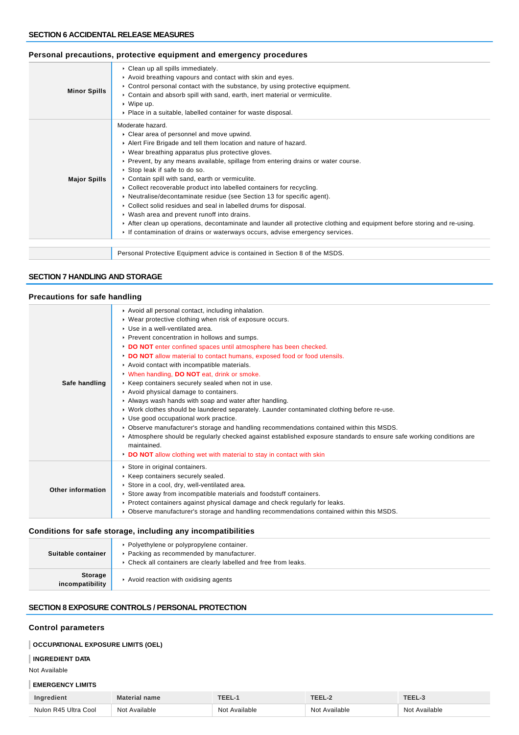#### **Minor Spills** Clean up all spills immediately. Avoid breathing vapours and contact with skin and eyes. ▶ Control personal contact with the substance, by using protective equipment. Contain and absorb spill with sand, earth, inert material or vermiculite. Wipe up. Place in a suitable, labelled container for waste disposal. **Major Spills** Moderate hazard. Clear area of personnel and move upwind. Alert Fire Brigade and tell them location and nature of hazard. Wear breathing apparatus plus protective gloves. Prevent, by any means available, spillage from entering drains or water course. Stop leak if safe to do so. Contain spill with sand, earth or vermiculite. Collect recoverable product into labelled containers for recycling. ▶ Neutralise/decontaminate residue (see Section 13 for specific agent). Collect solid residues and seal in labelled drums for disposal. Wash area and prevent runoff into drains. After clean up operations, decontaminate and launder all protective clothing and equipment before storing and re-using. If contamination of drains or waterways occurs, advise emergency services. Personal Protective Equipment advice is contained in Section 8 of the MSDS.

#### **Personal precautions, protective equipment and emergency procedures**

#### **SECTION 7 HANDLING AND STORAGE**

#### **Precautions for safe handling**

| Safe handling     | Avoid all personal contact, including inhalation.<br>▶ Wear protective clothing when risk of exposure occurs.<br>▶ Use in a well-ventilated area.<br>▶ Prevent concentration in hollows and sumps.<br>DO NOT enter confined spaces until atmosphere has been checked.<br>DO NOT allow material to contact humans, exposed food or food utensils.<br>Avoid contact with incompatible materials.<br>V When handling, DO NOT eat, drink or smoke.<br>▶ Keep containers securely sealed when not in use.<br>Avoid physical damage to containers.<br>Always wash hands with soap and water after handling.<br>► Work clothes should be laundered separately. Launder contaminated clothing before re-use.<br>Use good occupational work practice.<br>• Observe manufacturer's storage and handling recommendations contained within this MSDS.<br>Atmosphere should be regularly checked against established exposure standards to ensure safe working conditions are<br>maintained.<br>DO NOT allow clothing wet with material to stay in contact with skin |
|-------------------|---------------------------------------------------------------------------------------------------------------------------------------------------------------------------------------------------------------------------------------------------------------------------------------------------------------------------------------------------------------------------------------------------------------------------------------------------------------------------------------------------------------------------------------------------------------------------------------------------------------------------------------------------------------------------------------------------------------------------------------------------------------------------------------------------------------------------------------------------------------------------------------------------------------------------------------------------------------------------------------------------------------------------------------------------------|
| Other information | Store in original containers.<br>▶ Keep containers securely sealed.<br>Store in a cool, dry, well-ventilated area.<br>▶ Store away from incompatible materials and foodstuff containers.<br>▶ Protect containers against physical damage and check regularly for leaks.<br>▶ Observe manufacturer's storage and handling recommendations contained within this MSDS.                                                                                                                                                                                                                                                                                                                                                                                                                                                                                                                                                                                                                                                                                    |

#### **Conditions for safe storage, including any incompatibilities**

| Suitable container                | • Polyethylene or polypropylene container.<br>▶ Packing as recommended by manufacturer.<br>▶ Check all containers are clearly labelled and free from leaks. |
|-----------------------------------|-------------------------------------------------------------------------------------------------------------------------------------------------------------|
| <b>Storage</b><br>incompatibility | Avoid reaction with oxidising agents                                                                                                                        |

# **SECTION 8 EXPOSURE CONTROLS / PERSONAL PROTECTION**

#### **Control parameters**

## **OCCUPATIONAL EXPOSURE LIMITS (OEL)**

#### **INGREDIENT DATA**

Not Available

#### **EMERGENCY LIMITS**

| Ingredient           | Material name | TEEL-1           | TEEL-.        | TEEL-S             |
|----------------------|---------------|------------------|---------------|--------------------|
| Nulon R45 Ultra Cool | Not Available | Available<br>Not | Not Available | : Available<br>Not |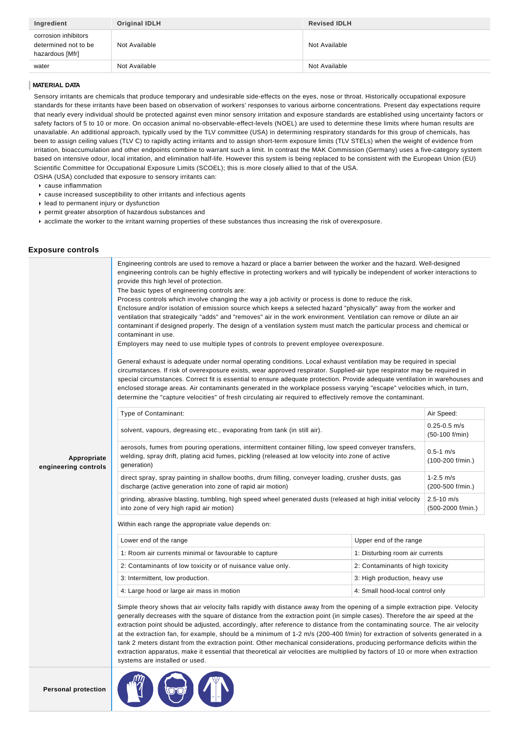| Ingredient                                                      | Original IDLH | <b>Revised IDLH</b> |
|-----------------------------------------------------------------|---------------|---------------------|
| corrosion inhibitors<br>determined not to be<br>hazardous [Mfr] | Not Available | Not Available       |
| water                                                           | Not Available | Not Available       |

#### **MATERIAL DATA**

Sensory irritants are chemicals that produce temporary and undesirable side-effects on the eyes, nose or throat. Historically occupational exposure standards for these irritants have been based on observation of workers' responses to various airborne concentrations. Present day expectations require that nearly every individual should be protected against even minor sensory irritation and exposure standards are established using uncertainty factors or safety factors of 5 to 10 or more. On occasion animal no-observable-effect-levels (NOEL) are used to determine these limits where human results are unavailable. An additional approach, typically used by the TLV committee (USA) in determining respiratory standards for this group of chemicals, has been to assign ceiling values (TLV C) to rapidly acting irritants and to assign short-term exposure limits (TLV STELs) when the weight of evidence from irritation, bioaccumulation and other endpoints combine to warrant such a limit. In contrast the MAK Commission (Germany) uses a five-category system based on intensive odour, local irritation, and elimination half-life. However this system is being replaced to be consistent with the European Union (EU) Scientific Committee for Occupational Exposure Limits (SCOEL); this is more closely allied to that of the USA. OSHA (USA) concluded that exposure to sensory irritants can:

cause inflammation

- cause increased susceptibility to other irritants and infectious agents
- lead to permanent injury or dysfunction
- permit greater absorption of hazardous substances and
- acclimate the worker to the irritant warning properties of these substances thus increasing the risk of overexposure.

#### **Exposure controls**

|                                     | Engineering controls are used to remove a hazard or place a barrier between the worker and the hazard. Well-designed<br>engineering controls can be highly effective in protecting workers and will typically be independent of worker interactions to<br>provide this high level of protection.<br>The basic types of engineering controls are:<br>Process controls which involve changing the way a job activity or process is done to reduce the risk.<br>Enclosure and/or isolation of emission source which keeps a selected hazard "physically" away from the worker and<br>ventilation that strategically "adds" and "removes" air in the work environment. Ventilation can remove or dilute an air<br>contaminant if designed properly. The design of a ventilation system must match the particular process and chemical or<br>contaminant in use.<br>Employers may need to use multiple types of controls to prevent employee overexposure.<br>General exhaust is adequate under normal operating conditions. Local exhaust ventilation may be required in special<br>circumstances. If risk of overexposure exists, wear approved respirator. Supplied-air type respirator may be required in |                                      |            |
|-------------------------------------|----------------------------------------------------------------------------------------------------------------------------------------------------------------------------------------------------------------------------------------------------------------------------------------------------------------------------------------------------------------------------------------------------------------------------------------------------------------------------------------------------------------------------------------------------------------------------------------------------------------------------------------------------------------------------------------------------------------------------------------------------------------------------------------------------------------------------------------------------------------------------------------------------------------------------------------------------------------------------------------------------------------------------------------------------------------------------------------------------------------------------------------------------------------------------------------------------------|--------------------------------------|------------|
|                                     | special circumstances. Correct fit is essential to ensure adequate protection. Provide adequate ventilation in warehouses and<br>enclosed storage areas. Air contaminants generated in the workplace possess varying "escape" velocities which, in turn,<br>determine the "capture velocities" of fresh circulating air required to effectively remove the contaminant.                                                                                                                                                                                                                                                                                                                                                                                                                                                                                                                                                                                                                                                                                                                                                                                                                                  |                                      |            |
|                                     | Type of Contaminant:                                                                                                                                                                                                                                                                                                                                                                                                                                                                                                                                                                                                                                                                                                                                                                                                                                                                                                                                                                                                                                                                                                                                                                                     |                                      | Air Speed: |
|                                     | solvent, vapours, degreasing etc., evaporating from tank (in still air).                                                                                                                                                                                                                                                                                                                                                                                                                                                                                                                                                                                                                                                                                                                                                                                                                                                                                                                                                                                                                                                                                                                                 | $0.25 - 0.5$ m/s<br>$(50-100 f/min)$ |            |
| Appropriate<br>engineering controls | aerosols, fumes from pouring operations, intermittent container filling, low speed conveyer transfers,<br>welding, spray drift, plating acid fumes, pickling (released at low velocity into zone of active<br>generation)                                                                                                                                                                                                                                                                                                                                                                                                                                                                                                                                                                                                                                                                                                                                                                                                                                                                                                                                                                                | $0.5 - 1$ m/s<br>$(100-200$ f/min.)  |            |
|                                     | direct spray, spray painting in shallow booths, drum filling, conveyer loading, crusher dusts, gas<br>discharge (active generation into zone of rapid air motion)                                                                                                                                                                                                                                                                                                                                                                                                                                                                                                                                                                                                                                                                                                                                                                                                                                                                                                                                                                                                                                        | $1 - 2.5$ m/s<br>$(200-500 f/min.)$  |            |
|                                     | grinding, abrasive blasting, tumbling, high speed wheel generated dusts (released at high initial velocity<br>into zone of very high rapid air motion)                                                                                                                                                                                                                                                                                                                                                                                                                                                                                                                                                                                                                                                                                                                                                                                                                                                                                                                                                                                                                                                   | $2.5 - 10$ m/s<br>(500-2000 f/min.)  |            |
|                                     | Within each range the appropriate value depends on:                                                                                                                                                                                                                                                                                                                                                                                                                                                                                                                                                                                                                                                                                                                                                                                                                                                                                                                                                                                                                                                                                                                                                      |                                      |            |
|                                     | Lower end of the range                                                                                                                                                                                                                                                                                                                                                                                                                                                                                                                                                                                                                                                                                                                                                                                                                                                                                                                                                                                                                                                                                                                                                                                   | Upper end of the range               |            |
|                                     | 1: Room air currents minimal or favourable to capture                                                                                                                                                                                                                                                                                                                                                                                                                                                                                                                                                                                                                                                                                                                                                                                                                                                                                                                                                                                                                                                                                                                                                    | 1: Disturbing room air currents      |            |
|                                     | 2: Contaminants of low toxicity or of nuisance value only.                                                                                                                                                                                                                                                                                                                                                                                                                                                                                                                                                                                                                                                                                                                                                                                                                                                                                                                                                                                                                                                                                                                                               | 2: Contaminants of high toxicity     |            |
|                                     | 3: Intermittent, low production.                                                                                                                                                                                                                                                                                                                                                                                                                                                                                                                                                                                                                                                                                                                                                                                                                                                                                                                                                                                                                                                                                                                                                                         | 3: High production, heavy use        |            |
|                                     | 4: Large hood or large air mass in motion                                                                                                                                                                                                                                                                                                                                                                                                                                                                                                                                                                                                                                                                                                                                                                                                                                                                                                                                                                                                                                                                                                                                                                | 4: Small hood-local control only     |            |
|                                     | Simple theory shows that air velocity falls rapidly with distance away from the opening of a simple extraction pipe. Velocity<br>generally decreases with the square of distance from the extraction point (in simple cases). Therefore the air speed at the<br>extraction point should be adjusted, accordingly, after reference to distance from the contaminating source. The air velocity<br>at the extraction fan, for example, should be a minimum of 1-2 m/s (200-400 f/min) for extraction of solvents generated in a<br>tank 2 meters distant from the extraction point. Other mechanical considerations, producing performance deficits within the                                                                                                                                                                                                                                                                                                                                                                                                                                                                                                                                             |                                      |            |

extraction apparatus, make it essential that theoretical air velocities are multiplied by factors of 10 or more when extraction systems are installed or used.

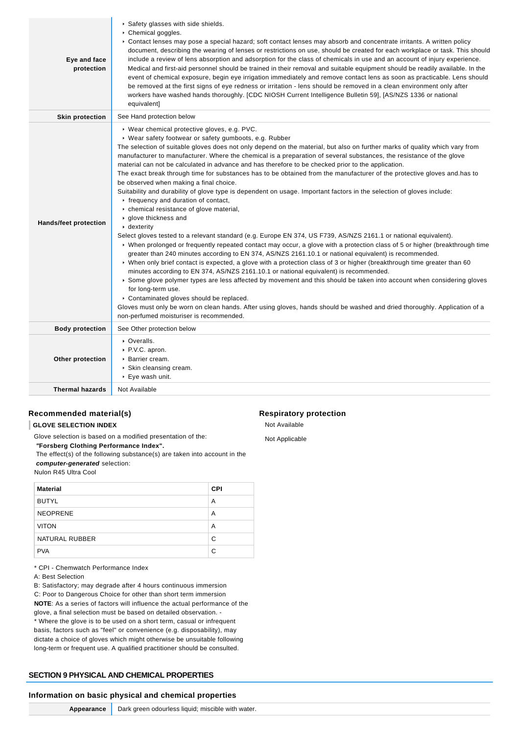| Eye and face<br>protection   | ▶ Safety glasses with side shields.<br>$\triangleright$ Chemical goggles.<br>► Contact lenses may pose a special hazard; soft contact lenses may absorb and concentrate irritants. A written policy<br>document, describing the wearing of lenses or restrictions on use, should be created for each workplace or task. This should<br>include a review of lens absorption and adsorption for the class of chemicals in use and an account of injury experience.<br>Medical and first-aid personnel should be trained in their removal and suitable equipment should be readily available. In the<br>event of chemical exposure, begin eye irrigation immediately and remove contact lens as soon as practicable. Lens should<br>be removed at the first signs of eye redness or irritation - lens should be removed in a clean environment only after<br>workers have washed hands thoroughly. [CDC NIOSH Current Intelligence Bulletin 59], [AS/NZS 1336 or national<br>equivalent]                                                                                                                                                                                                                                                                                                                                                                                                                                                                                                                                                                                                                                                                                                                                                                                                                                                                          |
|------------------------------|----------------------------------------------------------------------------------------------------------------------------------------------------------------------------------------------------------------------------------------------------------------------------------------------------------------------------------------------------------------------------------------------------------------------------------------------------------------------------------------------------------------------------------------------------------------------------------------------------------------------------------------------------------------------------------------------------------------------------------------------------------------------------------------------------------------------------------------------------------------------------------------------------------------------------------------------------------------------------------------------------------------------------------------------------------------------------------------------------------------------------------------------------------------------------------------------------------------------------------------------------------------------------------------------------------------------------------------------------------------------------------------------------------------------------------------------------------------------------------------------------------------------------------------------------------------------------------------------------------------------------------------------------------------------------------------------------------------------------------------------------------------------------------------------------------------------------------------------------------------|
| <b>Skin protection</b>       | See Hand protection below                                                                                                                                                                                                                                                                                                                                                                                                                                                                                                                                                                                                                                                                                                                                                                                                                                                                                                                                                                                                                                                                                                                                                                                                                                                                                                                                                                                                                                                                                                                                                                                                                                                                                                                                                                                                                                      |
| <b>Hands/feet protection</b> | ▶ Wear chemical protective gloves, e.g. PVC.<br>▶ Wear safety footwear or safety gumboots, e.g. Rubber<br>The selection of suitable gloves does not only depend on the material, but also on further marks of quality which vary from<br>manufacturer to manufacturer. Where the chemical is a preparation of several substances, the resistance of the glove<br>material can not be calculated in advance and has therefore to be checked prior to the application.<br>The exact break through time for substances has to be obtained from the manufacturer of the protective gloves and has to<br>be observed when making a final choice.<br>Suitability and durability of glove type is dependent on usage. Important factors in the selection of gloves include:<br>r frequency and duration of contact,<br>• chemical resistance of glove material,<br>▶ glove thickness and<br>$\cdot$ dexterity<br>Select gloves tested to a relevant standard (e.g. Europe EN 374, US F739, AS/NZS 2161.1 or national equivalent).<br>► When prolonged or frequently repeated contact may occur, a glove with a protection class of 5 or higher (breakthrough time<br>greater than 240 minutes according to EN 374, AS/NZS 2161.10.1 or national equivalent) is recommended.<br>▶ When only brief contact is expected, a glove with a protection class of 3 or higher (breakthrough time greater than 60<br>minutes according to EN 374, AS/NZS 2161.10.1 or national equivalent) is recommended.<br>Some glove polymer types are less affected by movement and this should be taken into account when considering gloves<br>for long-term use.<br>• Contaminated gloves should be replaced.<br>Gloves must only be worn on clean hands. After using gloves, hands should be washed and dried thoroughly. Application of a<br>non-perfumed moisturiser is recommended. |
| <b>Body protection</b>       | See Other protection below                                                                                                                                                                                                                                                                                                                                                                                                                                                                                                                                                                                                                                                                                                                                                                                                                                                                                                                                                                                                                                                                                                                                                                                                                                                                                                                                                                                                                                                                                                                                                                                                                                                                                                                                                                                                                                     |
| Other protection             | • Overalls.<br>▶ P.V.C. apron.<br>▶ Barrier cream.<br>▶ Skin cleansing cream.<br>$\triangleright$ Eye wash unit.                                                                                                                                                                                                                                                                                                                                                                                                                                                                                                                                                                                                                                                                                                                                                                                                                                                                                                                                                                                                                                                                                                                                                                                                                                                                                                                                                                                                                                                                                                                                                                                                                                                                                                                                               |
| <b>Thermal hazards</b>       | Not Available                                                                                                                                                                                                                                                                                                                                                                                                                                                                                                                                                                                                                                                                                                                                                                                                                                                                                                                                                                                                                                                                                                                                                                                                                                                                                                                                                                                                                                                                                                                                                                                                                                                                                                                                                                                                                                                  |

# **Recommended material(s)**

**GLOVE SELECTION INDEX**

Glove selection is based on a modified presentation of the:

 **"Forsberg Clothing Performance Index".**

 The effect(s) of the following substance(s) are taken into account in the **computer-generated** selection:

Nulon R45 Ultra Cool

| <b>Material</b> | <b>CPI</b> |
|-----------------|------------|
| <b>BUTYL</b>    | A          |
| <b>NEOPRENE</b> | A          |
| <b>VITON</b>    | A          |
| NATURAL RUBBER  | C          |
| <b>PVA</b>      | C          |

\* CPI - Chemwatch Performance Index

A: Best Selection

B: Satisfactory; may degrade after 4 hours continuous immersion C: Poor to Dangerous Choice for other than short term immersion **NOTE**: As a series of factors will influence the actual performance of the glove, a final selection must be based on detailed observation. - \* Where the glove is to be used on a short term, casual or infrequent basis, factors such as "feel" or convenience (e.g. disposability), may dictate a choice of gloves which might otherwise be unsuitable following long-term or frequent use. A qualified practitioner should be consulted.

# **SECTION 9 PHYSICAL AND CHEMICAL PROPERTIES**

#### **Information on basic physical and chemical properties**

#### **Respiratory protection**

Not Available Not Applicable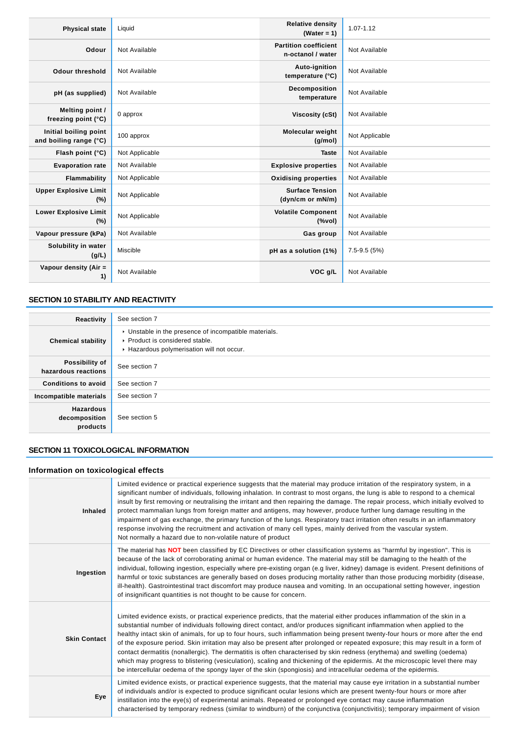| <b>Physical state</b>                           | Liquid         | <b>Relative density</b><br>(Water = $1$ )                      | 1.07-1.12       |
|-------------------------------------------------|----------------|----------------------------------------------------------------|-----------------|
| Odour                                           | Not Available  | <b>Partition coefficient</b><br>n-octanol / water              | Not Available   |
| <b>Odour threshold</b>                          | Not Available  | Auto-ignition<br>temperature (°C)                              | Not Available   |
| pH (as supplied)                                | Not Available  | Decomposition<br>temperature                                   | Not Available   |
| Melting point /<br>freezing point (°C)          | 0 approx       | Viscosity (cSt)                                                | Not Available   |
| Initial boiling point<br>and boiling range (°C) | 100 approx     | Molecular weight<br>(g/mol)                                    | Not Applicable  |
| Flash point (°C)                                | Not Applicable | <b>Taste</b>                                                   | Not Available   |
| <b>Evaporation rate</b>                         | Not Available  | <b>Explosive properties</b>                                    | Not Available   |
| Flammability                                    | Not Applicable | <b>Oxidising properties</b>                                    | Not Available   |
| <b>Upper Explosive Limit</b><br>$(\%)$          | Not Applicable | <b>Surface Tension</b><br>(dyn/cm or mN/m)                     | Not Available   |
| <b>Lower Explosive Limit</b><br>(%)             | Not Applicable | <b>Volatile Component</b><br>$(% \mathcal{L}_{0}^{\infty}$ (%) | Not Available   |
| Vapour pressure (kPa)                           | Not Available  | Gas group                                                      | Not Available   |
| Solubility in water<br>(g/L)                    | Miscible       | pH as a solution (1%)                                          | $7.5 - 9.5(5%)$ |
| Vapour density (Air =<br>1)                     | Not Available  | VOC q/L                                                        | Not Available   |

# **SECTION 10 STABILITY AND REACTIVITY**

| Reactivity                                    | See section 7                                                                                                                              |
|-----------------------------------------------|--------------------------------------------------------------------------------------------------------------------------------------------|
| <b>Chemical stability</b>                     | $\cdot$ Unstable in the presence of incompatible materials.<br>▶ Product is considered stable.<br>Hazardous polymerisation will not occur. |
| Possibility of<br>hazardous reactions         | See section 7                                                                                                                              |
| <b>Conditions to avoid</b>                    | See section 7                                                                                                                              |
| Incompatible materials                        | See section 7                                                                                                                              |
| <b>Hazardous</b><br>decomposition<br>products | See section 5                                                                                                                              |

# **SECTION 11 TOXICOLOGICAL INFORMATION**

# **Information on toxicological effects**

| Inhaled             | Limited evidence or practical experience suggests that the material may produce irritation of the respiratory system, in a<br>significant number of individuals, following inhalation. In contrast to most organs, the lung is able to respond to a chemical<br>insult by first removing or neutralising the irritant and then repairing the damage. The repair process, which initially evolved to<br>protect mammalian lungs from foreign matter and antigens, may however, produce further lung damage resulting in the<br>impairment of gas exchange, the primary function of the lungs. Respiratory tract irritation often results in an inflammatory<br>response involving the recruitment and activation of many cell types, mainly derived from the vascular system.<br>Not normally a hazard due to non-volatile nature of product                                                              |
|---------------------|----------------------------------------------------------------------------------------------------------------------------------------------------------------------------------------------------------------------------------------------------------------------------------------------------------------------------------------------------------------------------------------------------------------------------------------------------------------------------------------------------------------------------------------------------------------------------------------------------------------------------------------------------------------------------------------------------------------------------------------------------------------------------------------------------------------------------------------------------------------------------------------------------------|
| Ingestion           | The material has <b>NOT</b> been classified by EC Directives or other classification systems as "harmful by ingestion". This is<br>because of the lack of corroborating animal or human evidence. The material may still be damaging to the health of the<br>individual, following ingestion, especially where pre-existing organ (e.g liver, kidney) damage is evident. Present definitions of<br>harmful or toxic substances are generally based on doses producing mortality rather than those producing morbidity (disease,<br>ill-health). Gastrointestinal tract discomfort may produce nausea and vomiting. In an occupational setting however, ingestion<br>of insignificant quantities is not thought to be cause for concern.                                                                                                                                                                  |
| <b>Skin Contact</b> | Limited evidence exists, or practical experience predicts, that the material either produces inflammation of the skin in a<br>substantial number of individuals following direct contact, and/or produces significant inflammation when applied to the<br>healthy intact skin of animals, for up to four hours, such inflammation being present twenty-four hours or more after the end<br>of the exposure period. Skin irritation may also be present after prolonged or repeated exposure; this may result in a form of<br>contact dermatitis (nonallergic). The dermatitis is often characterised by skin redness (erythema) and swelling (oedema)<br>which may progress to blistering (vesiculation), scaling and thickening of the epidermis. At the microscopic level there may<br>be intercellular oedema of the spongy layer of the skin (spongiosis) and intracellular oedema of the epidermis. |
| Eye                 | Limited evidence exists, or practical experience suggests, that the material may cause eye irritation in a substantial number<br>of individuals and/or is expected to produce significant ocular lesions which are present twenty-four hours or more after<br>instillation into the eye(s) of experimental animals. Repeated or prolonged eye contact may cause inflammation<br>characterised by temporary redness (similar to windburn) of the conjunctiva (conjunctivitis); temporary impairment of vision                                                                                                                                                                                                                                                                                                                                                                                             |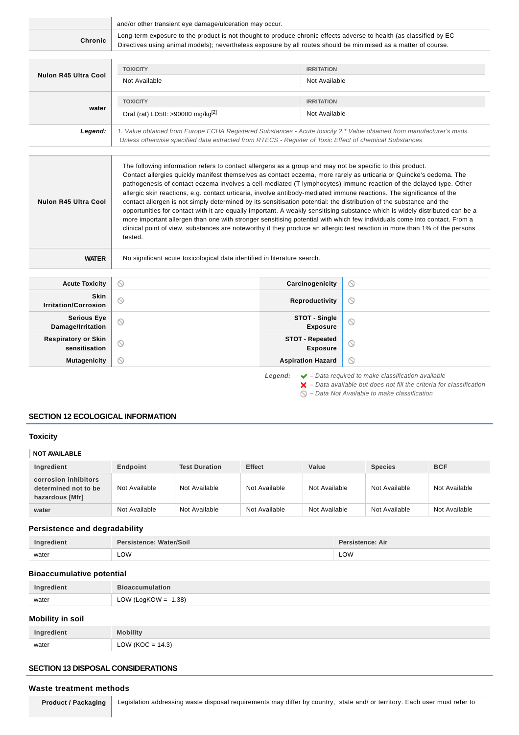|                                             | and/or other transient eye damage/ulceration may occur.                                                                                                                                                                                                                                                                                                                                                                                                                                                                                                                                                                                                                                                                                                                                                                                                                                       |                                           |                                                                        |  |
|---------------------------------------------|-----------------------------------------------------------------------------------------------------------------------------------------------------------------------------------------------------------------------------------------------------------------------------------------------------------------------------------------------------------------------------------------------------------------------------------------------------------------------------------------------------------------------------------------------------------------------------------------------------------------------------------------------------------------------------------------------------------------------------------------------------------------------------------------------------------------------------------------------------------------------------------------------|-------------------------------------------|------------------------------------------------------------------------|--|
| Chronic                                     | Long-term exposure to the product is not thought to produce chronic effects adverse to health (as classified by EC<br>Directives using animal models); nevertheless exposure by all routes should be minimised as a matter of course.                                                                                                                                                                                                                                                                                                                                                                                                                                                                                                                                                                                                                                                         |                                           |                                                                        |  |
|                                             |                                                                                                                                                                                                                                                                                                                                                                                                                                                                                                                                                                                                                                                                                                                                                                                                                                                                                               |                                           |                                                                        |  |
| Nulon R45 Ultra Cool                        | <b>TOXICITY</b>                                                                                                                                                                                                                                                                                                                                                                                                                                                                                                                                                                                                                                                                                                                                                                                                                                                                               | <b>IRRITATION</b>                         |                                                                        |  |
|                                             | Not Available                                                                                                                                                                                                                                                                                                                                                                                                                                                                                                                                                                                                                                                                                                                                                                                                                                                                                 | Not Available                             |                                                                        |  |
| water                                       | <b>TOXICITY</b>                                                                                                                                                                                                                                                                                                                                                                                                                                                                                                                                                                                                                                                                                                                                                                                                                                                                               | <b>IRRITATION</b>                         |                                                                        |  |
|                                             | Oral (rat) LD50: >90000 mg/kg <sup>[2]</sup>                                                                                                                                                                                                                                                                                                                                                                                                                                                                                                                                                                                                                                                                                                                                                                                                                                                  | Not Available                             |                                                                        |  |
| Legend:                                     | 1. Value obtained from Europe ECHA Registered Substances - Acute toxicity 2.* Value obtained from manufacturer's msds.<br>Unless otherwise specified data extracted from RTECS - Register of Toxic Effect of chemical Substances                                                                                                                                                                                                                                                                                                                                                                                                                                                                                                                                                                                                                                                              |                                           |                                                                        |  |
|                                             |                                                                                                                                                                                                                                                                                                                                                                                                                                                                                                                                                                                                                                                                                                                                                                                                                                                                                               |                                           |                                                                        |  |
| Nulon R45 Ultra Cool                        | Contact allergies quickly manifest themselves as contact eczema, more rarely as urticaria or Quincke's oedema. The<br>pathogenesis of contact eczema involves a cell-mediated (T lymphocytes) immune reaction of the delayed type. Other<br>allergic skin reactions, e.g. contact urticaria, involve antibody-mediated immune reactions. The significance of the<br>contact allergen is not simply determined by its sensitisation potential: the distribution of the substance and the<br>opportunities for contact with it are equally important. A weakly sensitising substance which is widely distributed can be a<br>more important allergen than one with stronger sensitising potential with which few individuals come into contact. From a<br>clinical point of view, substances are noteworthy if they produce an allergic test reaction in more than 1% of the persons<br>tested. |                                           |                                                                        |  |
| <b>WATER</b>                                | No significant acute toxicological data identified in literature search.                                                                                                                                                                                                                                                                                                                                                                                                                                                                                                                                                                                                                                                                                                                                                                                                                      |                                           |                                                                        |  |
| <b>Acute Toxicity</b>                       | $\circledcirc$                                                                                                                                                                                                                                                                                                                                                                                                                                                                                                                                                                                                                                                                                                                                                                                                                                                                                | Carcinogenicity<br>$\circ$                |                                                                        |  |
| Skin<br><b>Irritation/Corrosion</b>         | $\circledcirc$                                                                                                                                                                                                                                                                                                                                                                                                                                                                                                                                                                                                                                                                                                                                                                                                                                                                                | Reproductivity                            | $\circ$                                                                |  |
| <b>Serious Eye</b><br>Damage/Irritation     | 0                                                                                                                                                                                                                                                                                                                                                                                                                                                                                                                                                                                                                                                                                                                                                                                                                                                                                             | STOT - Single<br><b>Exposure</b>          | $\circ$                                                                |  |
| <b>Respiratory or Skin</b><br>sensitisation | $\circledcirc$                                                                                                                                                                                                                                                                                                                                                                                                                                                                                                                                                                                                                                                                                                                                                                                                                                                                                | <b>STOT - Repeated</b><br><b>Exposure</b> | $\circledcirc$                                                         |  |
| <b>Mutagenicity</b>                         | ⊚                                                                                                                                                                                                                                                                                                                                                                                                                                                                                                                                                                                                                                                                                                                                                                                                                                                                                             | <b>Aspiration Hazard</b>                  | $\odot$                                                                |  |
|                                             |                                                                                                                                                                                                                                                                                                                                                                                                                                                                                                                                                                                                                                                                                                                                                                                                                                                                                               | Legend:                                   | $\blacktriangleright$ - Data required to make classification available |  |

 $\blacktriangleright$  – Data available but does not fill the criteria for classification

 $\bigcirc$  – Data Not Available to make classification

# **SECTION 12 ECOLOGICAL INFORMATION**

# **Toxicity**

## **NOT AVAILABLE**

| Ingredient                                                      | Endpoint      | <b>Test Duration</b> | <b>Effect</b> | Value         | <b>Species</b> | <b>BCF</b>    |
|-----------------------------------------------------------------|---------------|----------------------|---------------|---------------|----------------|---------------|
| corrosion inhibitors<br>determined not to be<br>hazardous [Mfr] | Not Available | Not Available        | Not Available | Not Available | Not Available  | Not Available |
| water                                                           | Not Available | Not Available        | Not Available | Not Available | Not Available  | Not Available |

## **Persistence and degradability**

| Ingredient | Persistence: Water/Soil | <b>Persistence: Air</b> |
|------------|-------------------------|-------------------------|
| water      | <b>LOW</b>              | LOW                     |

## **Bioaccumulative potential**

| Ingredient | <b>Bioaccumulation</b>  |
|------------|-------------------------|
| water      | LOW (LogKOW = $-1.38$ ) |

# **Mobility in soil**

|       | <b>Mobility</b>              |
|-------|------------------------------|
| water | (14.3)<br>$ONIIKOC -$<br>∟∪₩ |

# **SECTION 13 DISPOSAL CONSIDERATIONS**

#### **Waste treatment methods**

Product / Packaging | Legislation addressing waste disposal requirements may differ by country, state and/ or territory. Each user must refer to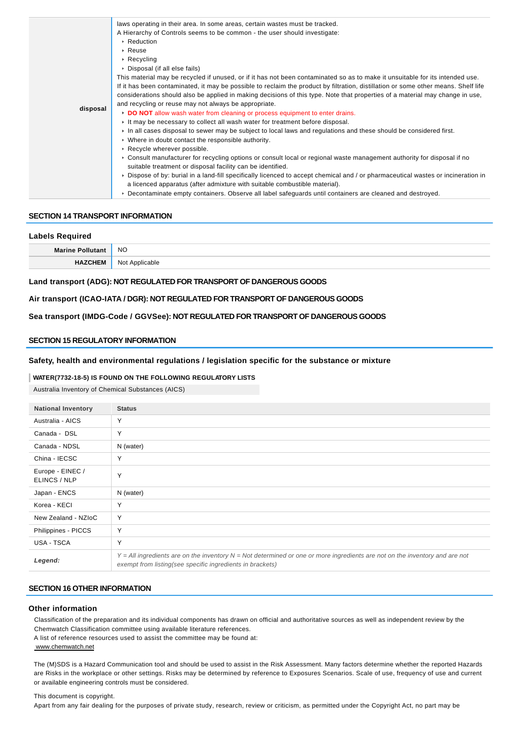| disposal | laws operating in their area. In some areas, certain wastes must be tracked.<br>A Hierarchy of Controls seems to be common - the user should investigate:<br>▶ Reduction<br>$\cdot$ Reuse<br>$\triangleright$ Recycling<br>▶ Disposal (if all else fails)<br>This material may be recycled if unused, or if it has not been contaminated so as to make it unsuitable for its intended use.<br>If it has been contaminated, it may be possible to reclaim the product by filtration, distillation or some other means. Shelf life<br>considerations should also be applied in making decisions of this type. Note that properties of a material may change in use, |
|----------|-------------------------------------------------------------------------------------------------------------------------------------------------------------------------------------------------------------------------------------------------------------------------------------------------------------------------------------------------------------------------------------------------------------------------------------------------------------------------------------------------------------------------------------------------------------------------------------------------------------------------------------------------------------------|
|          | and recycling or reuse may not always be appropriate.<br>DO NOT allow wash water from cleaning or process equipment to enter drains.<br>It may be necessary to collect all wash water for treatment before disposal.<br>In all cases disposal to sewer may be subject to local laws and regulations and these should be considered first.<br>• Where in doubt contact the responsible authority.<br>Recycle wherever possible.                                                                                                                                                                                                                                    |
|          | ► Consult manufacturer for recycling options or consult local or regional waste management authority for disposal if no<br>suitable treatment or disposal facility can be identified.<br>▶ Dispose of by: burial in a land-fill specifically licenced to accept chemical and / or pharmaceutical wastes or incineration in<br>a licenced apparatus (after admixture with suitable combustible material).<br>▶ Decontaminate empty containers. Observe all label safeguards until containers are cleaned and destroyed.                                                                                                                                            |

#### **SECTION 14 TRANSPORT INFORMATION**

#### **Labels Required**

| <b>Marin</b> | <b>NO</b>         |
|--------------|-------------------|
|              | N∩*<br>Applicable |

**Land transport (ADG): NOT REGULATED FOR TRANSPORT OF DANGEROUS GOODS**

**Air transport (ICAO-IATA / DGR): NOT REGULATED FOR TRANSPORT OF DANGEROUS GOODS**

**Sea transport (IMDG-Code / GGVSee): NOT REGULATED FOR TRANSPORT OF DANGEROUS GOODS**

#### **SECTION 15 REGULATORY INFORMATION**

# **Safety, health and environmental regulations / legislation specific for the substance or mixture**

#### **WATER(7732-18-5) IS FOUND ON THE FOLLOWING REGULATORY LISTS**

Australia Inventory of Chemical Substances (AICS)

| <b>National Inventory</b>        | <b>Status</b>                                                                                                                                                                                |
|----------------------------------|----------------------------------------------------------------------------------------------------------------------------------------------------------------------------------------------|
| Australia - AICS                 | Y                                                                                                                                                                                            |
| Canada - DSL                     | Y                                                                                                                                                                                            |
| Canada - NDSL                    | N (water)                                                                                                                                                                                    |
| China - IECSC                    | Y                                                                                                                                                                                            |
| Europe - EINEC /<br>ELINCS / NLP | Υ                                                                                                                                                                                            |
| Japan - ENCS                     | N (water)                                                                                                                                                                                    |
| Korea - KECI                     | Υ                                                                                                                                                                                            |
| New Zealand - NZIoC              | Y                                                                                                                                                                                            |
| Philippines - PICCS              | Y                                                                                                                                                                                            |
| USA - TSCA                       | Y                                                                                                                                                                                            |
| Legend:                          | $Y = All$ ingredients are on the inventory $N = Not$ determined or one or more ingredients are not on the inventory and are not<br>exempt from listing(see specific ingredients in brackets) |

## **SECTION 16 OTHER INFORMATION**

## **Other information**

Classification of the preparation and its individual components has drawn on official and authoritative sources as well as independent review by the Chemwatch Classification committee using available literature references.

A list of reference resources used to assist the committee may be found at:

#### www.chemwatch.net

The (M)SDS is a Hazard Communication tool and should be used to assist in the Risk Assessment. Many factors determine whether the reported Hazards are Risks in the workplace or other settings. Risks may be determined by reference to Exposures Scenarios. Scale of use, frequency of use and current or available engineering controls must be considered.

This document is copyright.

Apart from any fair dealing for the purposes of private study, research, review or criticism, as permitted under the Copyright Act, no part may be